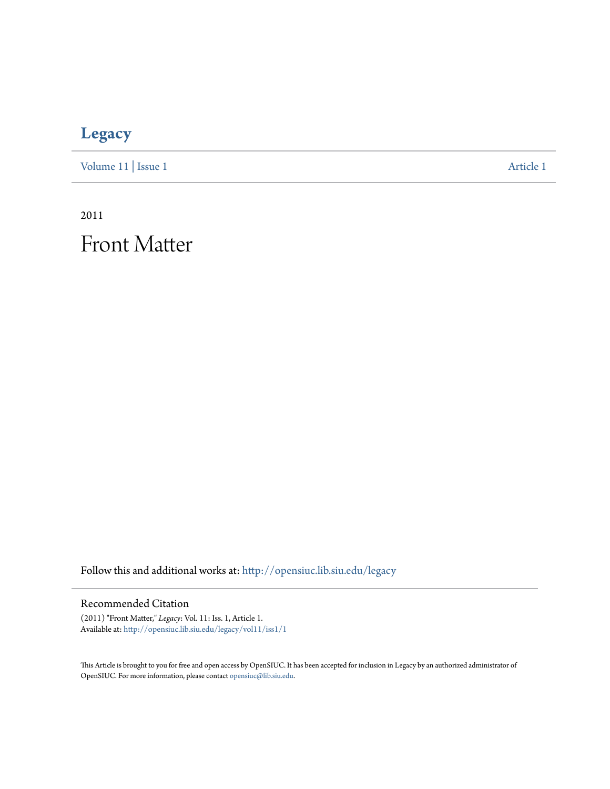# **[Legacy](http://opensiuc.lib.siu.edu/legacy?utm_source=opensiuc.lib.siu.edu%2Flegacy%2Fvol11%2Fiss1%2F1&utm_medium=PDF&utm_campaign=PDFCoverPages)**

[Volume 11](http://opensiuc.lib.siu.edu/legacy/vol11?utm_source=opensiuc.lib.siu.edu%2Flegacy%2Fvol11%2Fiss1%2F1&utm_medium=PDF&utm_campaign=PDFCoverPages) | [Issue 1](http://opensiuc.lib.siu.edu/legacy/vol11/iss1?utm_source=opensiuc.lib.siu.edu%2Flegacy%2Fvol11%2Fiss1%2F1&utm_medium=PDF&utm_campaign=PDFCoverPages) [Article 1](http://opensiuc.lib.siu.edu/legacy/vol11/iss1/1?utm_source=opensiuc.lib.siu.edu%2Flegacy%2Fvol11%2Fiss1%2F1&utm_medium=PDF&utm_campaign=PDFCoverPages)

2011

Front Matter

Follow this and additional works at: [http://opensiuc.lib.siu.edu/legacy](http://opensiuc.lib.siu.edu/legacy?utm_source=opensiuc.lib.siu.edu%2Flegacy%2Fvol11%2Fiss1%2F1&utm_medium=PDF&utm_campaign=PDFCoverPages)

#### Recommended Citation

(2011) "Front Matter," *Legacy*: Vol. 11: Iss. 1, Article 1. Available at: [http://opensiuc.lib.siu.edu/legacy/vol11/iss1/1](http://opensiuc.lib.siu.edu/legacy/vol11/iss1/1?utm_source=opensiuc.lib.siu.edu%2Flegacy%2Fvol11%2Fiss1%2F1&utm_medium=PDF&utm_campaign=PDFCoverPages)

This Article is brought to you for free and open access by OpenSIUC. It has been accepted for inclusion in Legacy by an authorized administrator of OpenSIUC. For more information, please contact [opensiuc@lib.siu.edu.](mailto:opensiuc@lib.siu.edu)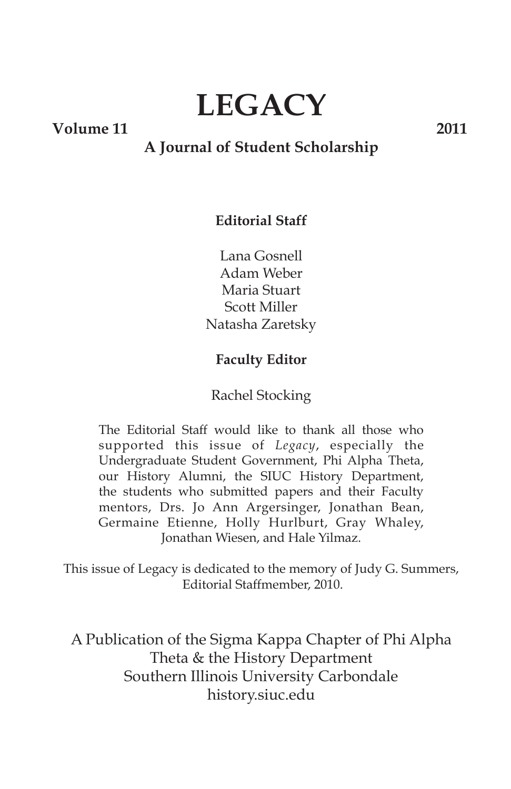# **LEGACY**

**Volume 11 2011**

### **A Journal of Student Scholarship**

#### **Editorial Staff**

Lana Gosnell Adam Weber Maria Stuart Scott Miller Natasha Zaretsky

#### **Faculty Editor**

#### Rachel Stocking

The Editorial Staff would like to thank all those who supported this issue of *Legacy*, especially the Undergraduate Student Government, Phi Alpha Theta, our History Alumni, the SIUC History Department, the students who submitted papers and their Faculty mentors, Drs. Jo Ann Argersinger, Jonathan Bean, Germaine Etienne, Holly Hurlburt, Gray Whaley, Jonathan Wiesen, and Hale Yilmaz.

This issue of Legacy is dedicated to the memory of Judy G. Summers, Editorial Staffmember, 2010.

A Publication of the Sigma Kappa Chapter of Phi Alpha Theta & the History Department Southern Illinois University Carbondale history.siuc.edu